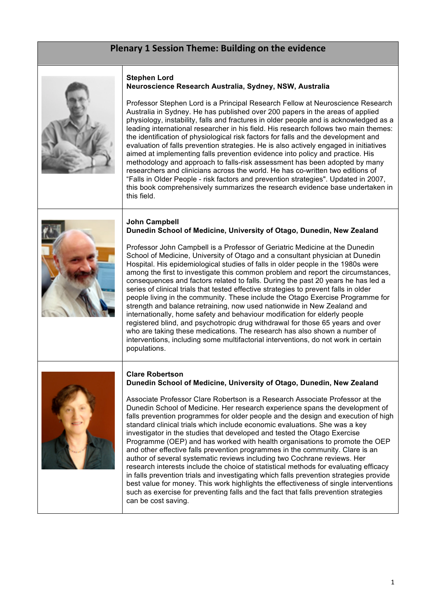# **Plenary 1 Session Theme: Building on the evidence**



### **Stephen Lord Neuroscience Research Australia, Sydney, NSW, Australia**

Professor Stephen Lord is a Principal Research Fellow at Neuroscience Research Australia in Sydney. He has published over 200 papers in the areas of applied physiology, instability, falls and fractures in older people and is acknowledged as a leading international researcher in his field. His research follows two main themes: the identification of physiological risk factors for falls and the development and evaluation of falls prevention strategies. He is also actively engaged in initiatives aimed at implementing falls prevention evidence into policy and practice. His methodology and approach to falls-risk assessment has been adopted by many researchers and clinicians across the world. He has co-written two editions of "Falls in Older People - risk factors and prevention strategies". Updated in 2007, this book comprehensively summarizes the research evidence base undertaken in this field.



### **John Campbell Dunedin School of Medicine, University of Otago, Dunedin, New Zealand**

Professor John Campbell is a Professor of Geriatric Medicine at the Dunedin School of Medicine, University of Otago and a consultant physician at Dunedin Hospital. His epidemiological studies of falls in older people in the 1980s were among the first to investigate this common problem and report the circumstances, consequences and factors related to falls. During the past 20 years he has led a series of clinical trials that tested effective strategies to prevent falls in older people living in the community. These include the Otago Exercise Programme for strength and balance retraining, now used nationwide in New Zealand and internationally, home safety and behaviour modification for elderly people registered blind, and psychotropic drug withdrawal for those 65 years and over who are taking these medications. The research has also shown a number of interventions, including some multifactorial interventions, do not work in certain populations.

#### **Clare Robertson Dunedin School of Medicine, University of Otago, Dunedin, New Zealand**



Associate Professor Clare Robertson is a Research Associate Professor at the Dunedin School of Medicine. Her research experience spans the development of falls prevention programmes for older people and the design and execution of high standard clinical trials which include economic evaluations. She was a key investigator in the studies that developed and tested the Otago Exercise Programme (OEP) and has worked with health organisations to promote the OEP and other effective falls prevention programmes in the community. Clare is an author of several systematic reviews including two Cochrane reviews. Her research interests include the choice of statistical methods for evaluating efficacy in falls prevention trials and investigating which falls prevention strategies provide best value for money. This work highlights the effectiveness of single interventions such as exercise for preventing falls and the fact that falls prevention strategies can be cost saving.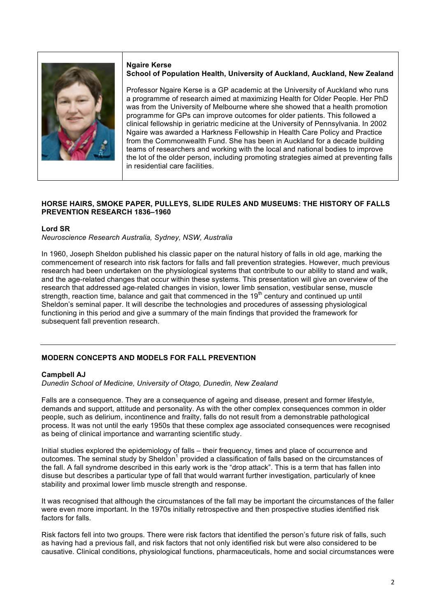

#### **Ngaire Kerse School of Population Health, University of Auckland, Auckland, New Zealand**

Professor Ngaire Kerse is a GP academic at the University of Auckland who runs a programme of research aimed at maximizing Health for Older People. Her PhD was from the University of Melbourne where she showed that a health promotion programme for GPs can improve outcomes for older patients. This followed a clinical fellowship in geriatric medicine at the University of Pennsylvania. In 2002 Ngaire was awarded a Harkness Fellowship in Health Care Policy and Practice from the Commonwealth Fund. She has been in Auckland for a decade building teams of researchers and working with the local and national bodies to improve the lot of the older person, including promoting strategies aimed at preventing falls in residential care facilities.

# **HORSE HAIRS, SMOKE PAPER, PULLEYS, SLIDE RULES AND MUSEUMS: THE HISTORY OF FALLS PREVENTION RESEARCH 1836–1960**

# **Lord SR**

*Neuroscience Research Australia, Sydney, NSW, Australia*

In 1960, Joseph Sheldon published his classic paper on the natural history of falls in old age, marking the commencement of research into risk factors for falls and fall prevention strategies. However, much previous research had been undertaken on the physiological systems that contribute to our ability to stand and walk, and the age-related changes that occur within these systems. This presentation will give an overview of the research that addressed age-related changes in vision, lower limb sensation, vestibular sense, muscle strength, reaction time, balance and gait that commenced in the 19<sup>th</sup> century and continued up until Sheldon's seminal paper. It will describe the technologies and procedures of assessing physiological functioning in this period and give a summary of the main findings that provided the framework for subsequent fall prevention research.

# **MODERN CONCEPTS AND MODELS FOR FALL PREVENTION**

### **Campbell AJ**

*Dunedin School of Medicine, University of Otago, Dunedin, New Zealand*

Falls are a consequence. They are a consequence of ageing and disease, present and former lifestyle, demands and support, attitude and personality. As with the other complex consequences common in older people, such as delirium, incontinence and frailty, falls do not result from a demonstrable pathological process. It was not until the early 1950s that these complex age associated consequences were recognised as being of clinical importance and warranting scientific study.

Initial studies explored the epidemiology of falls – their frequency, times and place of occurrence and outcomes. The seminal study by Sheldon<sup>1</sup> provided a classification of falls based on the circumstances of the fall. A fall syndrome described in this early work is the "drop attack". This is a term that has fallen into disuse but describes a particular type of fall that would warrant further investigation, particularly of knee stability and proximal lower limb muscle strength and response.

It was recognised that although the circumstances of the fall may be important the circumstances of the faller were even more important. In the 1970s initially retrospective and then prospective studies identified risk factors for falls.

Risk factors fell into two groups. There were risk factors that identified the person's future risk of falls, such as having had a previous fall, and risk factors that not only identified risk but were also considered to be causative. Clinical conditions, physiological functions, pharmaceuticals, home and social circumstances were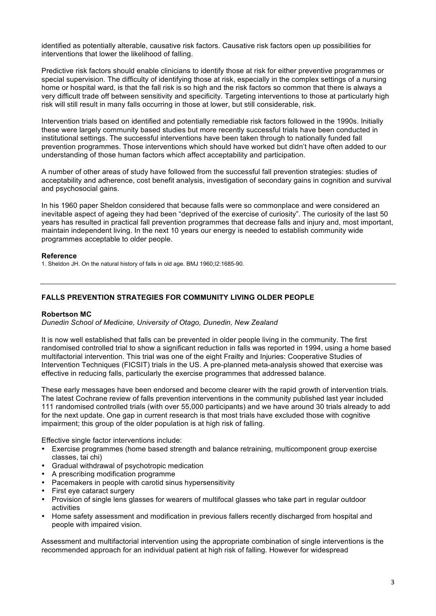identified as potentially alterable, causative risk factors. Causative risk factors open up possibilities for interventions that lower the likelihood of falling.

Predictive risk factors should enable clinicians to identify those at risk for either preventive programmes or special supervision. The difficulty of identifying those at risk, especially in the complex settings of a nursing home or hospital ward, is that the fall risk is so high and the risk factors so common that there is always a very difficult trade off between sensitivity and specificity. Targeting interventions to those at particularly high risk will still result in many falls occurring in those at lower, but still considerable, risk.

Intervention trials based on identified and potentially remediable risk factors followed in the 1990s. Initially these were largely community based studies but more recently successful trials have been conducted in institutional settings. The successful interventions have been taken through to nationally funded fall prevention programmes. Those interventions which should have worked but didn't have often added to our understanding of those human factors which affect acceptability and participation.

A number of other areas of study have followed from the successful fall prevention strategies: studies of acceptability and adherence, cost benefit analysis, investigation of secondary gains in cognition and survival and psychosocial gains.

In his 1960 paper Sheldon considered that because falls were so commonplace and were considered an inevitable aspect of ageing they had been "deprived of the exercise of curiosity". The curiosity of the last 50 years has resulted in practical fall prevention programmes that decrease falls and injury and, most important, maintain independent living. In the next 10 years our energy is needed to establish community wide programmes acceptable to older people.

### **Reference**

1. Sheldon JH. On the natural history of falls in old age. BMJ 1960;I2:1685-90.

# **FALLS PREVENTION STRATEGIES FOR COMMUNITY LIVING OLDER PEOPLE**

### **Robertson MC**

*Dunedin School of Medicine, University of Otago, Dunedin, New Zealand*

It is now well established that falls can be prevented in older people living in the community. The first randomised controlled trial to show a significant reduction in falls was reported in 1994, using a home based multifactorial intervention. This trial was one of the eight Frailty and Injuries: Cooperative Studies of Intervention Techniques (FICSIT) trials in the US. A pre-planned meta-analysis showed that exercise was effective in reducing falls, particularly the exercise programmes that addressed balance.

These early messages have been endorsed and become clearer with the rapid growth of intervention trials. The latest Cochrane review of falls prevention interventions in the community published last year included 111 randomised controlled trials (with over 55,000 participants) and we have around 30 trials already to add for the next update. One gap in current research is that most trials have excluded those with cognitive impairment; this group of the older population is at high risk of falling.

Effective single factor interventions include:

- Exercise programmes (home based strength and balance retraining, multicomponent group exercise classes, tai chi)
- Gradual withdrawal of psychotropic medication
- A prescribing modification programme
- Pacemakers in people with carotid sinus hypersensitivity
- First eye cataract surgery
- Provision of single lens glasses for wearers of multifocal glasses who take part in regular outdoor activities
- Home safety assessment and modification in previous fallers recently discharged from hospital and people with impaired vision.

Assessment and multifactorial intervention using the appropriate combination of single interventions is the recommended approach for an individual patient at high risk of falling. However for widespread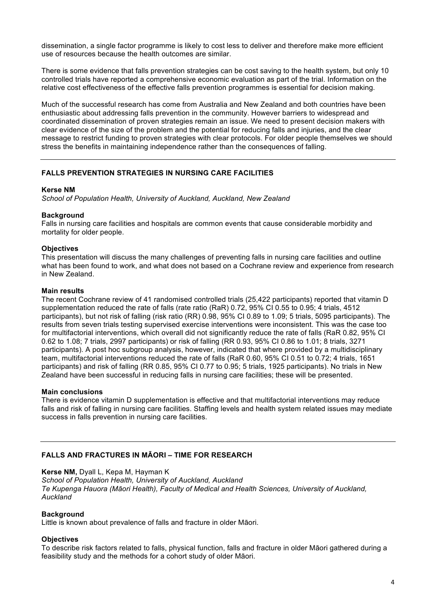dissemination, a single factor programme is likely to cost less to deliver and therefore make more efficient use of resources because the health outcomes are similar.

There is some evidence that falls prevention strategies can be cost saving to the health system, but only 10 controlled trials have reported a comprehensive economic evaluation as part of the trial. Information on the relative cost effectiveness of the effective falls prevention programmes is essential for decision making.

Much of the successful research has come from Australia and New Zealand and both countries have been enthusiastic about addressing falls prevention in the community. However barriers to widespread and coordinated dissemination of proven strategies remain an issue. We need to present decision makers with clear evidence of the size of the problem and the potential for reducing falls and injuries, and the clear message to restrict funding to proven strategies with clear protocols. For older people themselves we should stress the benefits in maintaining independence rather than the consequences of falling.

# **FALLS PREVENTION STRATEGIES IN NURSING CARE FACILITIES**

# **Kerse NM**

*School of Population Health, University of Auckland, Auckland, New Zealand*

# **Background**

Falls in nursing care facilities and hospitals are common events that cause considerable morbidity and mortality for older people.

# **Objectives**

This presentation will discuss the many challenges of preventing falls in nursing care facilities and outline what has been found to work, and what does not based on a Cochrane review and experience from research in New Zealand.

### **Main results**

The recent Cochrane review of 41 randomised controlled trials (25,422 participants) reported that vitamin D supplementation reduced the rate of falls (rate ratio (RaR) 0.72, 95% CI 0.55 to 0.95; 4 trials, 4512 participants), but not risk of falling (risk ratio (RR) 0.98, 95% CI 0.89 to 1.09; 5 trials, 5095 participants). The results from seven trials testing supervised exercise interventions were inconsistent. This was the case too for multifactorial interventions, which overall did not significantly reduce the rate of falls (RaR 0.82, 95% CI 0.62 to 1.08; 7 trials, 2997 participants) or risk of falling (RR 0.93, 95% CI 0.86 to 1.01; 8 trials, 3271 participants). A post hoc subgroup analysis, however, indicated that where provided by a multidisciplinary team, multifactorial interventions reduced the rate of falls (RaR 0.60, 95% CI 0.51 to 0.72; 4 trials, 1651 participants) and risk of falling (RR 0.85, 95% CI 0.77 to 0.95; 5 trials, 1925 participants). No trials in New Zealand have been successful in reducing falls in nursing care facilities; these will be presented.

### **Main conclusions**

There is evidence vitamin D supplementation is effective and that multifactorial interventions may reduce falls and risk of falling in nursing care facilities. Staffing levels and health system related issues may mediate success in falls prevention in nursing care facilities.

# **FALLS AND FRACTURES IN MĀORI – TIME FOR RESEARCH**

**Kerse NM,** Dyall L, Kepa M, Hayman K *School of Population Health, University of Auckland, Auckland Te Kupenga Hauora (Māori Health), Faculty of Medical and Health Sciences, University of Auckland, Auckland* 

### **Background**

Little is known about prevalence of falls and fracture in older Māori.

### **Objectives**

To describe risk factors related to falls, physical function, falls and fracture in older Māori gathered during a feasibility study and the methods for a cohort study of older Māori.